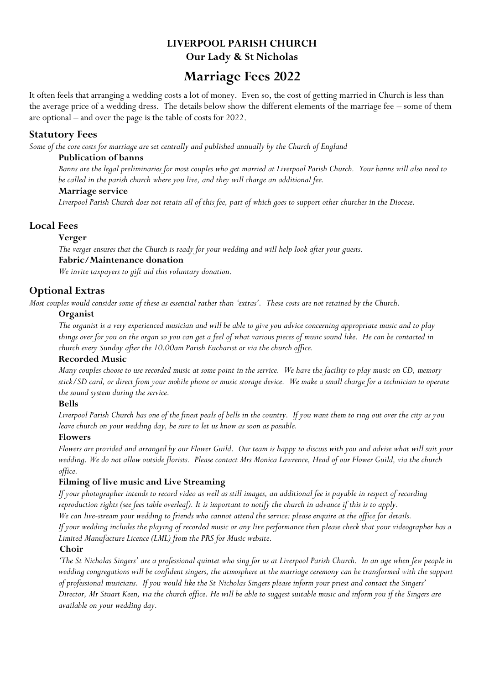## **LIVERPOOL PARISH CHURCH Our Lady & St Nicholas**

# **Marriage Fees 2022**

It often feels that arranging a wedding costs a lot of money. Even so, the cost of getting married in Church is less than the average price of a wedding dress. The details below show the different elements of the marriage fee – some of them are optional – and over the page is the table of costs for 2022.

### **Statutory Fees**

*Some of the core costs for marriage are set centrally and published annually by the Church of England*

#### **Publication of banns**

*Banns are the legal preliminaries for most couples who get married at Liverpool Parish Church. Your banns will also need to be called in the parish church where you live, and they will charge an additional fee.*

#### **Marriage service**

*Liverpool Parish Church does not retain all of this fee, part of which goes to support other churches in the Diocese.*

## **Local Fees**

#### **Verger**

*The verger ensures that the Church is ready for your wedding and will help look after your guests.* **Fabric/Maintenance donation**

*We invite taxpayers to gift aid this voluntary donation.*

## **Optional Extras**

*Most couples would consider some of these as essential rather than 'extras'. These costs are not retained by the Church.*

#### **Organist**

*The organist is a very experienced musician and will be able to give you advice concerning appropriate music and to play things over for you on the organ so you can get a feel of what various pieces of music sound like. He can be contacted in church every Sunday after the 10.00am Parish Eucharist or via the church office.*

#### **Recorded Music**

*Many couples choose to use recorded music at some point in the service. We have the facility to play music on CD, memory stick/SD card, or direct from your mobile phone or music storage device. We make a small charge for a technician to operate the sound system during the service.*

#### **Bells**

*Liverpool Parish Church has one of the finest peals of bells in the country. If you want them to ring out over the city as you leave church on your wedding day, be sure to let us know as soon as possible.*

#### **Flowers**

*Flowers are provided and arranged by our Flower Guild. Our team is happy to discuss with you and advise what will suit your wedding. We do not allow outside florists. Please contact Mrs Monica Lawrence, Head of our Flower Guild, via the church office.* 

#### **Filming of live music and Live Streaming**

*If your photographer intends to record video as well as still images, an additional fee is payable in respect of recording reproduction rights (see fees table overleaf). It is important to notify the church in advance if this is to apply. We can live-stream your wedding to friends who cannot attend the service: please enquire at the office for details.*

*If your wedding includes the playing of recorded music or any live performance then please check that your videographer has a Limited Manufacture Licence (LML) from the PRS for Music website.*

#### **Choir**

*'The St Nicholas Singers' are a professional quintet who sing for us at Liverpool Parish Church. In an age when few people in wedding congregations will be confident singers, the atmosphere at the marriage ceremony can be transformed with the support of professional musicians. If you would like the St Nicholas Singers please inform your priest and contact the Singers' Director, Mr Stuart Keen, via the church office. He will be able to suggest suitable music and inform you if the Singers are available on your wedding day.*